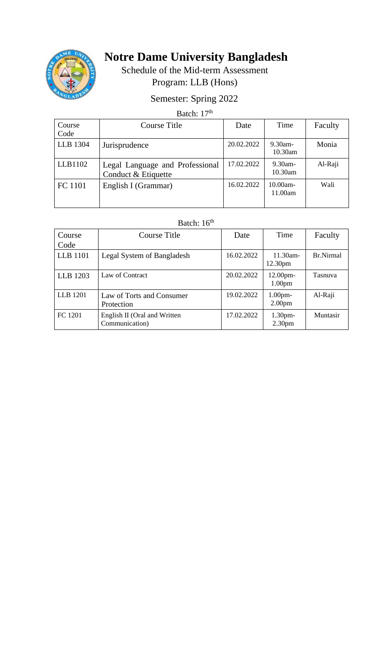

# **Notre Dame University Bangladesh**

Schedule of the Mid-term Assessment Program: LLB (Hons)

## Semester: Spring 2022

### Batch: 17<sup>th</sup>

| Course<br>Code | Course Title                                           | Date       | Time                  | Faculty |
|----------------|--------------------------------------------------------|------------|-----------------------|---------|
| LLB 1304       | Jurisprudence                                          | 20.02.2022 | $9.30$ am-<br>10.30am | Monia   |
| LLB1102        | Legal Language and Professional<br>Conduct & Etiquette | 17.02.2022 | $9.30$ am-<br>10.30am | Al-Raji |
| FC 1101        | English I (Grammar)                                    | 16.02.2022 | 10.00am-<br>11.00am   | Wali    |

#### Batch:  $16<sup>th</sup>$

| Course<br>Code  | Course Title                                   | Date       | Time                                     | Faculty   |
|-----------------|------------------------------------------------|------------|------------------------------------------|-----------|
| <b>LLB</b> 1101 | Legal System of Bangladesh                     | 16.02.2022 | $11.30$ am-<br>12.30 <sub>pm</sub>       | Br.Nirmal |
| LLB 1203        | Law of Contract                                | 20.02.2022 | $12.00$ pm-<br>1.00 <sub>pm</sub>        | Tasnuva   |
| LLB 1201        | Law of Torts and Consumer<br>Protection        | 19.02.2022 | 1.00 <sub>pm</sub><br>2.00 <sub>pm</sub> | Al-Raji   |
| FC 1201         | English II (Oral and Written<br>Communication) | 17.02.2022 | 1.30 <sub>pm</sub><br>2.30 <sub>pm</sub> | Muntasir  |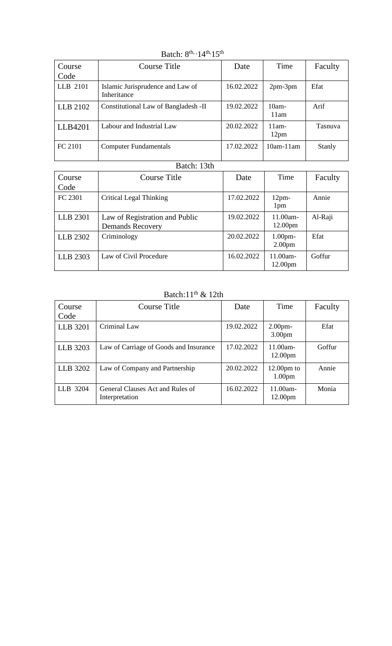| Course<br>Code | Course Title                                    | Date       | Time                         | Faculty       |
|----------------|-------------------------------------------------|------------|------------------------------|---------------|
| LLB 2101       | Islamic Jurisprudence and Law of<br>Inheritance | 16.02.2022 | $2pm-3pm$                    | Efat          |
| LLB 2102       | Constitutional Law of Bangladesh -II            | 19.02.2022 | $10am -$<br>11am             | Arif          |
| LLB4201        | Labour and Industrial Law                       | 20.02.2022 | $11am -$<br>12 <sub>pm</sub> | Tasnuva       |
| FC 2101        | <b>Computer Fundamentals</b>                    | 17.02.2022 | $10am-11am$                  | <b>Stanly</b> |

Batch:  $8^{\text{th}}$ ,  $14^{\text{th}}$ ,  $15^{\text{th}}$ 

### Batch: 13th

| Course<br>Code | Course Title                                              | Date       | Time                                     | Faculty |
|----------------|-----------------------------------------------------------|------------|------------------------------------------|---------|
| FC 2301        | Critical Legal Thinking                                   | 17.02.2022 | 12 <sub>pm</sub><br>1pm                  | Annie   |
| LLB 2301       | Law of Registration and Public<br><b>Demands Recovery</b> | 19.02.2022 | $11.00am -$<br>12.00 <sub>pm</sub>       | Al-Raji |
| LLB 2302       | Criminology                                               | 20.02.2022 | 1.00 <sub>pm</sub><br>2.00 <sub>pm</sub> | Efat    |
| LLB 2303       | Law of Civil Procedure                                    | 16.02.2022 | 11.00am-<br>12.00 <sub>pm</sub>          | Goffur  |

Batch: $11^{\text{th}}$  & 12th

| Course<br>Code | Course Title                                       | Date       | Time                                       | Faculty |
|----------------|----------------------------------------------------|------------|--------------------------------------------|---------|
| LLB 3201       | Criminal Law                                       | 19.02.2022 | 2.00 <sub>pm</sub><br>3.00 <sub>pm</sub>   | Efat    |
| LLB 3203       | Law of Carriage of Goods and Insurance             | 17.02.2022 | $11.00am -$<br>12.00 <sub>pm</sub>         | Goffur  |
| LLB 3202       | Law of Company and Partnership                     | 20.02.2022 | $12.00 \text{pm}$ to<br>1.00 <sub>pm</sub> | Annie   |
| LLB 3204       | General Clauses Act and Rules of<br>Interpretation | 16.02.2022 | $11.00am -$<br>12.00 <sub>pm</sub>         | Monia   |